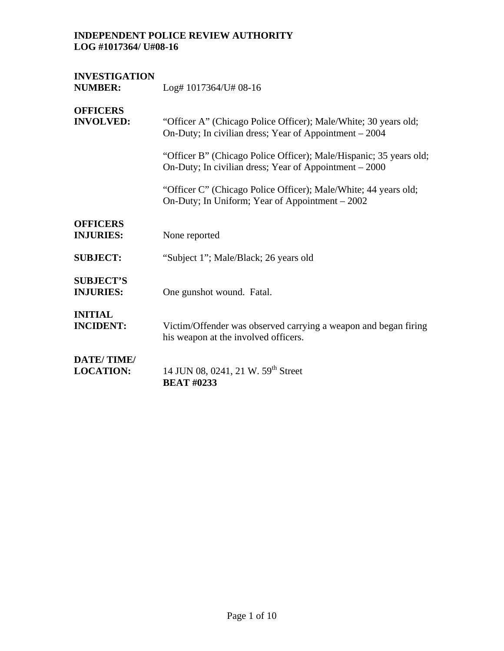# **INVESTIGATION**

Log# 1017364/U# 08-16

## **OFFICERS**

| <b>INVOLVED:</b>                     | "Officer A" (Chicago Police Officer); Male/White; 30 years old;<br>On-Duty; In civilian dress; Year of Appointment – 2004    |
|--------------------------------------|------------------------------------------------------------------------------------------------------------------------------|
|                                      | "Officer B" (Chicago Police Officer); Male/Hispanic; 35 years old;<br>On-Duty; In civilian dress; Year of Appointment – 2000 |
|                                      | "Officer C" (Chicago Police Officer); Male/White; 44 years old;<br>On-Duty; In Uniform; Year of Appointment – 2002           |
| <b>OFFICERS</b>                      |                                                                                                                              |
| <b>INJURIES:</b>                     | None reported                                                                                                                |
| <b>SUBJECT:</b>                      | "Subject 1"; Male/Black; 26 years old                                                                                        |
| <b>SUBJECT'S</b><br><b>INJURIES:</b> | One gunshot wound. Fatal.                                                                                                    |
| <b>INITIAL</b><br><b>INCIDENT:</b>   | Victim/Offender was observed carrying a weapon and began firing<br>his weapon at the involved officers.                      |
| DATE/TIME/<br><b>LOCATION:</b>       | 14 JUN 08, 0241, 21 W. 59 <sup>th</sup> Street<br><b>BEAT #0233</b>                                                          |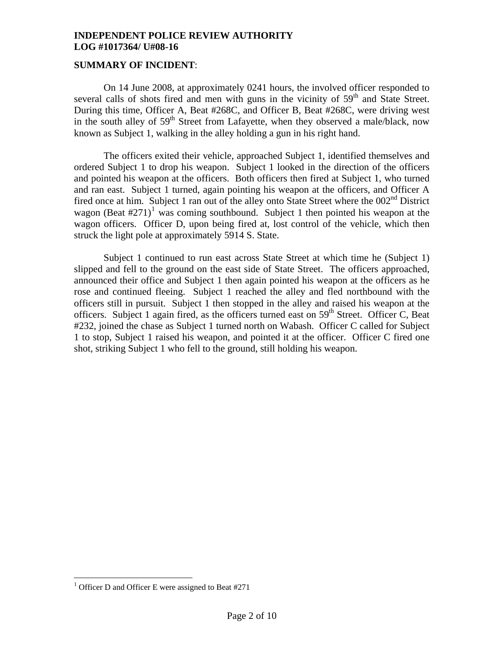#### **SUMMARY OF INCIDENT**:

On 14 June 2008, at approximately 0241 hours, the involved officer responded to several calls of shots fired and men with guns in the vicinity of  $59<sup>th</sup>$  and State Street. During this time, Officer A, Beat #268C, and Officer B, Beat #268C, were driving west in the south alley of 59<sup>th</sup> Street from Lafayette, when they observed a male/black, now known as Subject 1, walking in the alley holding a gun in his right hand.

The officers exited their vehicle, approached Subject 1, identified themselves and ordered Subject 1 to drop his weapon. Subject 1 looked in the direction of the officers and pointed his weapon at the officers. Both officers then fired at Subject 1, who turned and ran east. Subject 1 turned, again pointing his weapon at the officers, and Officer A fired once at him. Subject 1 ran out of the alley onto State Street where the  $002<sup>nd</sup>$  District wagon (Beat  $\#271$  $\#271$ )<sup>1</sup> was coming southbound. Subject 1 then pointed his weapon at the wagon officers. Officer D, upon being fired at, lost control of the vehicle, which then struck the light pole at approximately 5914 S. State.

Subject 1 continued to run east across State Street at which time he (Subject 1) slipped and fell to the ground on the east side of State Street. The officers approached, announced their office and Subject 1 then again pointed his weapon at the officers as he rose and continued fleeing. Subject 1 reached the alley and fled northbound with the officers still in pursuit. Subject 1 then stopped in the alley and raised his weapon at the officers. Subject 1 again fired, as the officers turned east on 59<sup>th</sup> Street. Officer C, Beat #232, joined the chase as Subject 1 turned north on Wabash. Officer C called for Subject 1 to stop, Subject 1 raised his weapon, and pointed it at the officer. Officer C fired one shot, striking Subject 1 who fell to the ground, still holding his weapon.

 $\overline{a}$ 

<span id="page-1-0"></span><sup>&</sup>lt;sup>1</sup> Officer D and Officer E were assigned to Beat #271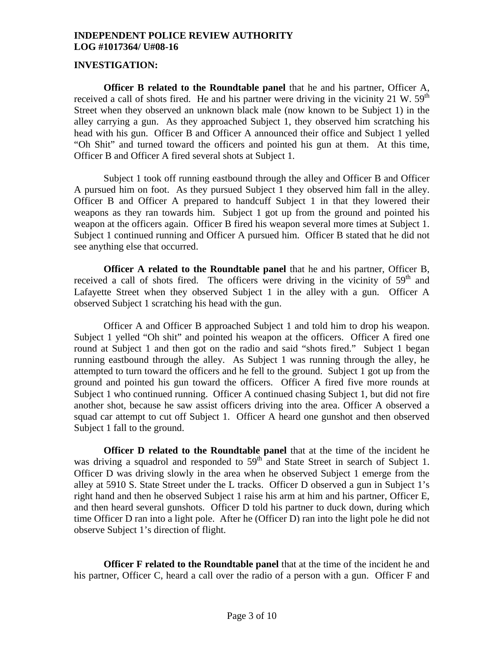#### **INVESTIGATION:**

**Officer B related to the Roundtable panel** that he and his partner, Officer A, received a call of shots fired. He and his partner were driving in the vicinity 21 W.  $59<sup>th</sup>$ Street when they observed an unknown black male (now known to be Subject 1) in the alley carrying a gun. As they approached Subject 1, they observed him scratching his head with his gun. Officer B and Officer A announced their office and Subject 1 yelled "Oh Shit" and turned toward the officers and pointed his gun at them. At this time, Officer B and Officer A fired several shots at Subject 1.

Subject 1 took off running eastbound through the alley and Officer B and Officer A pursued him on foot. As they pursued Subject 1 they observed him fall in the alley. Officer B and Officer A prepared to handcuff Subject 1 in that they lowered their weapons as they ran towards him. Subject 1 got up from the ground and pointed his weapon at the officers again. Officer B fired his weapon several more times at Subject 1. Subject 1 continued running and Officer A pursued him. Officer B stated that he did not see anything else that occurred.

 **Officer A related to the Roundtable panel** that he and his partner, Officer B, received a call of shots fired. The officers were driving in the vicinity of  $59<sup>th</sup>$  and Lafayette Street when they observed Subject 1 in the alley with a gun. Officer A observed Subject 1 scratching his head with the gun.

 Officer A and Officer B approached Subject 1 and told him to drop his weapon. Subject 1 yelled "Oh shit" and pointed his weapon at the officers. Officer A fired one round at Subject 1 and then got on the radio and said "shots fired." Subject 1 began running eastbound through the alley. As Subject 1 was running through the alley, he attempted to turn toward the officers and he fell to the ground. Subject 1 got up from the ground and pointed his gun toward the officers. Officer A fired five more rounds at Subject 1 who continued running. Officer A continued chasing Subject 1, but did not fire another shot, because he saw assist officers driving into the area. Officer A observed a squad car attempt to cut off Subject 1. Officer A heard one gunshot and then observed Subject 1 fall to the ground.

**Officer D related to the Roundtable panel** that at the time of the incident he was driving a squadrol and responded to  $59<sup>th</sup>$  and State Street in search of Subject 1. Officer D was driving slowly in the area when he observed Subject 1 emerge from the alley at 5910 S. State Street under the L tracks. Officer D observed a gun in Subject 1's right hand and then he observed Subject 1 raise his arm at him and his partner, Officer E, and then heard several gunshots. Officer D told his partner to duck down, during which time Officer D ran into a light pole. After he (Officer D) ran into the light pole he did not observe Subject 1's direction of flight.

**Officer F related to the Roundtable panel** that at the time of the incident he and his partner, Officer C, heard a call over the radio of a person with a gun. Officer F and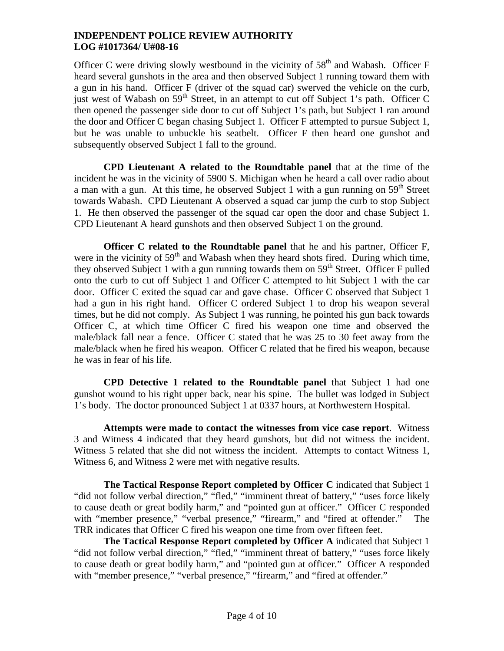Officer C were driving slowly westbound in the vicinity of  $58<sup>th</sup>$  and Wabash. Officer F heard several gunshots in the area and then observed Subject 1 running toward them with a gun in his hand. Officer F (driver of the squad car) swerved the vehicle on the curb, just west of Wabash on  $59<sup>th</sup>$  Street, in an attempt to cut off Subject 1's path. Officer C then opened the passenger side door to cut off Subject 1's path, but Subject 1 ran around the door and Officer C began chasing Subject 1. Officer F attempted to pursue Subject 1, but he was unable to unbuckle his seatbelt. Officer F then heard one gunshot and subsequently observed Subject 1 fall to the ground.

**CPD Lieutenant A related to the Roundtable panel** that at the time of the incident he was in the vicinity of 5900 S. Michigan when he heard a call over radio about a man with a gun. At this time, he observed Subject 1 with a gun running on  $59<sup>th</sup>$  Street towards Wabash. CPD Lieutenant A observed a squad car jump the curb to stop Subject 1. He then observed the passenger of the squad car open the door and chase Subject 1. CPD Lieutenant A heard gunshots and then observed Subject 1 on the ground.

**Officer C related to the Roundtable panel** that he and his partner, Officer F, were in the vicinity of  $59<sup>th</sup>$  and Wabash when they heard shots fired. During which time, they observed Subject 1 with a gun running towards them on  $59<sup>th</sup>$  Street. Officer F pulled onto the curb to cut off Subject 1 and Officer C attempted to hit Subject 1 with the car door. Officer C exited the squad car and gave chase. Officer C observed that Subject 1 had a gun in his right hand. Officer C ordered Subject 1 to drop his weapon several times, but he did not comply. As Subject 1 was running, he pointed his gun back towards Officer C, at which time Officer C fired his weapon one time and observed the male/black fall near a fence. Officer C stated that he was 25 to 30 feet away from the male/black when he fired his weapon. Officer C related that he fired his weapon, because he was in fear of his life.

**CPD Detective 1 related to the Roundtable panel** that Subject 1 had one gunshot wound to his right upper back, near his spine. The bullet was lodged in Subject 1's body. The doctor pronounced Subject 1 at 0337 hours, at Northwestern Hospital.

**Attempts were made to contact the witnesses from vice case report**. Witness 3 and Witness 4 indicated that they heard gunshots, but did not witness the incident. Witness 5 related that she did not witness the incident. Attempts to contact Witness 1, Witness 6, and Witness 2 were met with negative results.

**The Tactical Response Report completed by Officer C** indicated that Subject 1 "did not follow verbal direction," "fled," "imminent threat of battery," "uses force likely to cause death or great bodily harm," and "pointed gun at officer." Officer C responded with "member presence," "verbal presence," "firearm," and "fired at offender." The TRR indicates that Officer C fired his weapon one time from over fifteen feet.

**The Tactical Response Report completed by Officer A** indicated that Subject 1 "did not follow verbal direction," "fled," "imminent threat of battery," "uses force likely to cause death or great bodily harm," and "pointed gun at officer." Officer A responded with "member presence," "verbal presence," "firearm," and "fired at offender."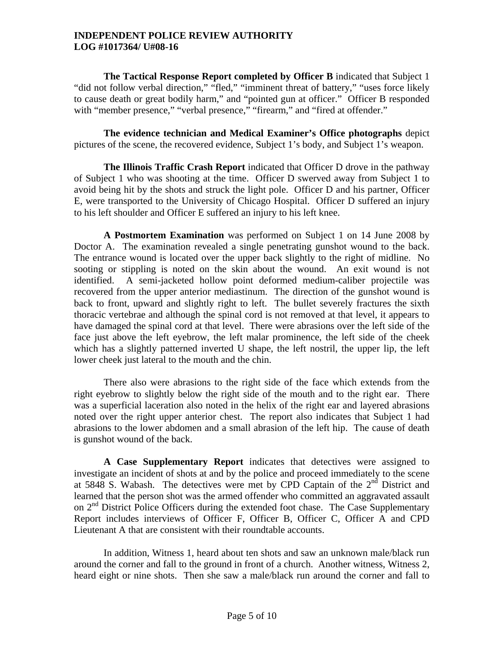**The Tactical Response Report completed by Officer B** indicated that Subject 1 "did not follow verbal direction," "fled," "imminent threat of battery," "uses force likely to cause death or great bodily harm," and "pointed gun at officer." Officer B responded with "member presence," "verbal presence," "firearm," and "fired at offender."

**The evidence technician and Medical Examiner's Office photographs** depict pictures of the scene, the recovered evidence, Subject 1's body, and Subject 1's weapon.

**The Illinois Traffic Crash Report** indicated that Officer D drove in the pathway of Subject 1 who was shooting at the time. Officer D swerved away from Subject 1 to avoid being hit by the shots and struck the light pole. Officer D and his partner, Officer E, were transported to the University of Chicago Hospital. Officer D suffered an injury to his left shoulder and Officer E suffered an injury to his left knee.

**A Postmortem Examination** was performed on Subject 1 on 14 June 2008 by Doctor A. The examination revealed a single penetrating gunshot wound to the back. The entrance wound is located over the upper back slightly to the right of midline. No sooting or stippling is noted on the skin about the wound. An exit wound is not identified. A semi-jacketed hollow point deformed medium-caliber projectile was recovered from the upper anterior mediastinum. The direction of the gunshot wound is back to front, upward and slightly right to left. The bullet severely fractures the sixth thoracic vertebrae and although the spinal cord is not removed at that level, it appears to have damaged the spinal cord at that level. There were abrasions over the left side of the face just above the left eyebrow, the left malar prominence, the left side of the cheek which has a slightly patterned inverted U shape, the left nostril, the upper lip, the left lower cheek just lateral to the mouth and the chin.

There also were abrasions to the right side of the face which extends from the right eyebrow to slightly below the right side of the mouth and to the right ear. There was a superficial laceration also noted in the helix of the right ear and layered abrasions noted over the right upper anterior chest. The report also indicates that Subject 1 had abrasions to the lower abdomen and a small abrasion of the left hip. The cause of death is gunshot wound of the back.

**A Case Supplementary Report** indicates that detectives were assigned to investigate an incident of shots at and by the police and proceed immediately to the scene at 5848 S. Wabash. The detectives were met by CPD Captain of the  $2<sup>nd</sup>$  District and learned that the person shot was the armed offender who committed an aggravated assault on 2<sup>nd</sup> District Police Officers during the extended foot chase. The Case Supplementary Report includes interviews of Officer F, Officer B, Officer C, Officer A and CPD Lieutenant A that are consistent with their roundtable accounts.

In addition, Witness 1, heard about ten shots and saw an unknown male/black run around the corner and fall to the ground in front of a church. Another witness, Witness 2, heard eight or nine shots. Then she saw a male/black run around the corner and fall to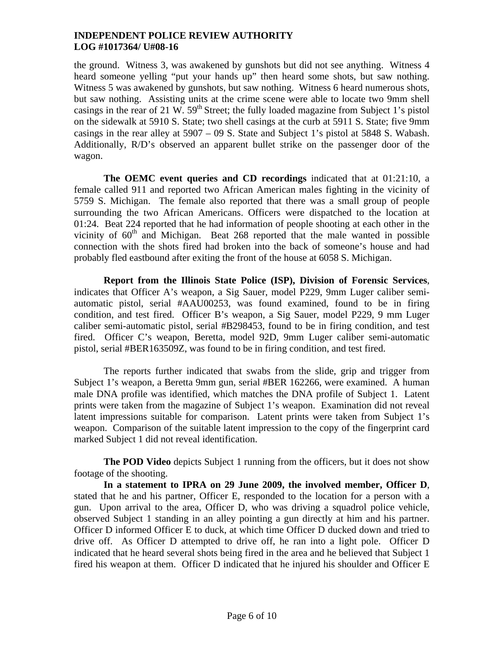the ground. Witness 3, was awakened by gunshots but did not see anything. Witness 4 heard someone yelling "put your hands up" then heard some shots, but saw nothing. Witness 5 was awakened by gunshots, but saw nothing. Witness 6 heard numerous shots, but saw nothing. Assisting units at the crime scene were able to locate two 9mm shell casings in the rear of 21 W.  $59<sup>th</sup>$  Street; the fully loaded magazine from Subject 1's pistol on the sidewalk at 5910 S. State; two shell casings at the curb at 5911 S. State; five 9mm casings in the rear alley at 5907 – 09 S. State and Subject 1's pistol at 5848 S. Wabash. Additionally, R/D's observed an apparent bullet strike on the passenger door of the wagon.

**The OEMC event queries and CD recordings** indicated that at 01:21:10, a female called 911 and reported two African American males fighting in the vicinity of 5759 S. Michigan. The female also reported that there was a small group of people surrounding the two African Americans. Officers were dispatched to the location at 01:24. Beat 224 reported that he had information of people shooting at each other in the vicinity of  $60<sup>th</sup>$  and Michigan. Beat 268 reported that the male wanted in possible connection with the shots fired had broken into the back of someone's house and had probably fled eastbound after exiting the front of the house at 6058 S. Michigan.

**Report from the Illinois State Police (ISP), Division of Forensic Services**, indicates that Officer A's weapon, a Sig Sauer, model P229, 9mm Luger caliber semiautomatic pistol, serial #AAU00253, was found examined, found to be in firing condition, and test fired. Officer B's weapon, a Sig Sauer, model P229, 9 mm Luger caliber semi-automatic pistol, serial #B298453, found to be in firing condition, and test fired. Officer C's weapon, Beretta, model 92D, 9mm Luger caliber semi-automatic pistol, serial #BER163509Z, was found to be in firing condition, and test fired.

The reports further indicated that swabs from the slide, grip and trigger from Subject 1's weapon, a Beretta 9mm gun, serial #BER 162266, were examined. A human male DNA profile was identified, which matches the DNA profile of Subject 1. Latent prints were taken from the magazine of Subject 1's weapon. Examination did not reveal latent impressions suitable for comparison. Latent prints were taken from Subject 1's weapon. Comparison of the suitable latent impression to the copy of the fingerprint card marked Subject 1 did not reveal identification.

**The POD Video** depicts Subject 1 running from the officers, but it does not show footage of the shooting.

**In a statement to IPRA on 29 June 2009, the involved member, Officer D**, stated that he and his partner, Officer E, responded to the location for a person with a gun. Upon arrival to the area, Officer D, who was driving a squadrol police vehicle, observed Subject 1 standing in an alley pointing a gun directly at him and his partner. Officer D informed Officer E to duck, at which time Officer D ducked down and tried to drive off. As Officer D attempted to drive off, he ran into a light pole. Officer D indicated that he heard several shots being fired in the area and he believed that Subject 1 fired his weapon at them. Officer D indicated that he injured his shoulder and Officer E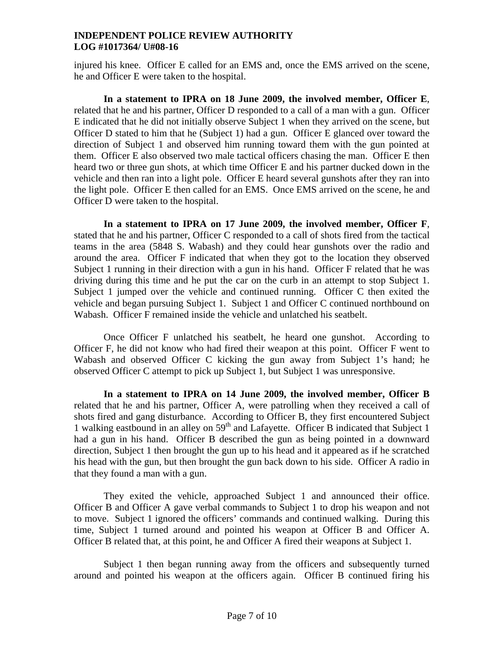injured his knee. Officer E called for an EMS and, once the EMS arrived on the scene, he and Officer E were taken to the hospital.

**In a statement to IPRA on 18 June 2009, the involved member, Officer E**, related that he and his partner, Officer D responded to a call of a man with a gun. Officer E indicated that he did not initially observe Subject 1 when they arrived on the scene, but Officer D stated to him that he (Subject 1) had a gun. Officer E glanced over toward the direction of Subject 1 and observed him running toward them with the gun pointed at them. Officer E also observed two male tactical officers chasing the man. Officer E then heard two or three gun shots, at which time Officer E and his partner ducked down in the vehicle and then ran into a light pole. Officer E heard several gunshots after they ran into the light pole. Officer E then called for an EMS. Once EMS arrived on the scene, he and Officer D were taken to the hospital.

**In a statement to IPRA on 17 June 2009, the involved member, Officer F**, stated that he and his partner, Officer C responded to a call of shots fired from the tactical teams in the area (5848 S. Wabash) and they could hear gunshots over the radio and around the area. Officer F indicated that when they got to the location they observed Subject 1 running in their direction with a gun in his hand. Officer F related that he was driving during this time and he put the car on the curb in an attempt to stop Subject 1. Subject 1 jumped over the vehicle and continued running. Officer C then exited the vehicle and began pursuing Subject 1. Subject 1 and Officer C continued northbound on Wabash. Officer F remained inside the vehicle and unlatched his seatbelt.

Once Officer F unlatched his seatbelt, he heard one gunshot. According to Officer F, he did not know who had fired their weapon at this point. Officer F went to Wabash and observed Officer C kicking the gun away from Subject 1's hand; he observed Officer C attempt to pick up Subject 1, but Subject 1 was unresponsive.

**In a statement to IPRA on 14 June 2009, the involved member, Officer B**  related that he and his partner, Officer A, were patrolling when they received a call of shots fired and gang disturbance. According to Officer B, they first encountered Subject 1 walking eastbound in an alley on 59<sup>th</sup> and Lafayette. Officer B indicated that Subject 1 had a gun in his hand. Officer B described the gun as being pointed in a downward direction, Subject 1 then brought the gun up to his head and it appeared as if he scratched his head with the gun, but then brought the gun back down to his side. Officer A radio in that they found a man with a gun.

They exited the vehicle, approached Subject 1 and announced their office. Officer B and Officer A gave verbal commands to Subject 1 to drop his weapon and not to move. Subject 1 ignored the officers' commands and continued walking. During this time, Subject 1 turned around and pointed his weapon at Officer B and Officer A. Officer B related that, at this point, he and Officer A fired their weapons at Subject 1.

Subject 1 then began running away from the officers and subsequently turned around and pointed his weapon at the officers again. Officer B continued firing his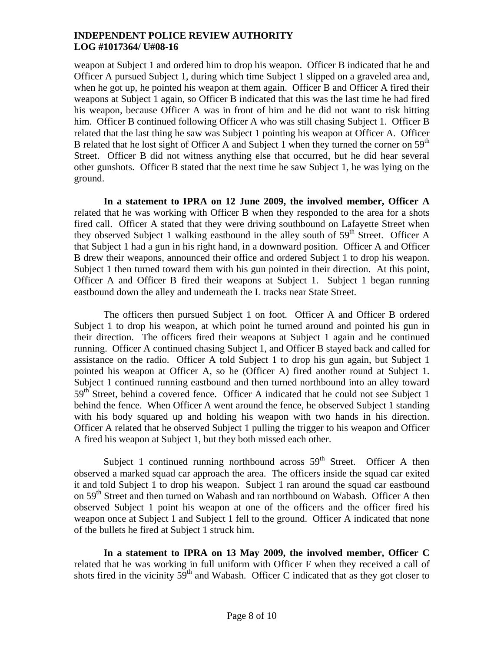weapon at Subject 1 and ordered him to drop his weapon. Officer B indicated that he and Officer A pursued Subject 1, during which time Subject 1 slipped on a graveled area and, when he got up, he pointed his weapon at them again. Officer B and Officer A fired their weapons at Subject 1 again, so Officer B indicated that this was the last time he had fired his weapon, because Officer A was in front of him and he did not want to risk hitting him. Officer B continued following Officer A who was still chasing Subject 1. Officer B related that the last thing he saw was Subject 1 pointing his weapon at Officer A. Officer B related that he lost sight of Officer A and Subject 1 when they turned the corner on  $59<sup>th</sup>$ Street. Officer B did not witness anything else that occurred, but he did hear several other gunshots. Officer B stated that the next time he saw Subject 1, he was lying on the ground.

**In a statement to IPRA on 12 June 2009, the involved member, Officer A** related that he was working with Officer B when they responded to the area for a shots fired call. Officer A stated that they were driving southbound on Lafayette Street when they observed Subject 1 walking eastbound in the alley south of 59<sup>th</sup> Street. Officer A that Subject 1 had a gun in his right hand, in a downward position. Officer A and Officer B drew their weapons, announced their office and ordered Subject 1 to drop his weapon. Subject 1 then turned toward them with his gun pointed in their direction. At this point, Officer A and Officer B fired their weapons at Subject 1. Subject 1 began running eastbound down the alley and underneath the L tracks near State Street.

The officers then pursued Subject 1 on foot. Officer A and Officer B ordered Subject 1 to drop his weapon, at which point he turned around and pointed his gun in their direction. The officers fired their weapons at Subject 1 again and he continued running. Officer A continued chasing Subject 1, and Officer B stayed back and called for assistance on the radio. Officer A told Subject 1 to drop his gun again, but Subject 1 pointed his weapon at Officer A, so he (Officer A) fired another round at Subject 1. Subject 1 continued running eastbound and then turned northbound into an alley toward  $59<sup>th</sup>$  Street, behind a covered fence. Officer A indicated that he could not see Subject 1 behind the fence. When Officer A went around the fence, he observed Subject 1 standing with his body squared up and holding his weapon with two hands in his direction. Officer A related that he observed Subject 1 pulling the trigger to his weapon and Officer A fired his weapon at Subject 1, but they both missed each other.

Subject 1 continued running northbound across  $59<sup>th</sup>$  Street. Officer A then observed a marked squad car approach the area. The officers inside the squad car exited it and told Subject 1 to drop his weapon. Subject 1 ran around the squad car eastbound on 59<sup>th</sup> Street and then turned on Wabash and ran northbound on Wabash. Officer A then observed Subject 1 point his weapon at one of the officers and the officer fired his weapon once at Subject 1 and Subject 1 fell to the ground. Officer A indicated that none of the bullets he fired at Subject 1 struck him.

**In a statement to IPRA on 13 May 2009, the involved member, Officer C** related that he was working in full uniform with Officer F when they received a call of shots fired in the vicinity  $59<sup>th</sup>$  and Wabash. Officer C indicated that as they got closer to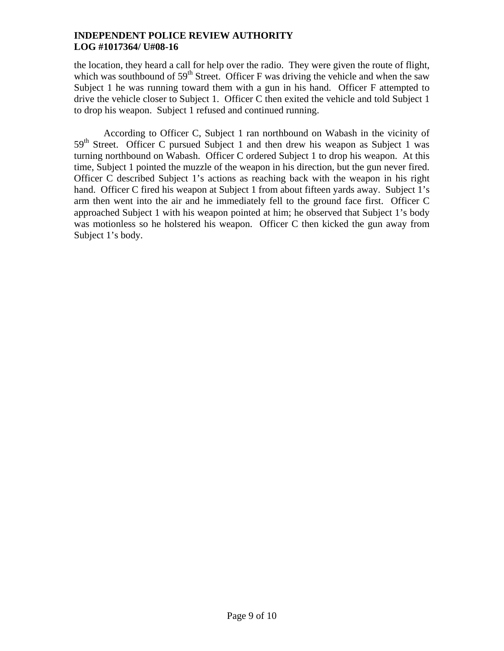the location, they heard a call for help over the radio. They were given the route of flight, which was southbound of  $59<sup>th</sup>$  Street. Officer F was driving the vehicle and when the saw Subject 1 he was running toward them with a gun in his hand. Officer F attempted to drive the vehicle closer to Subject 1. Officer C then exited the vehicle and told Subject 1 to drop his weapon. Subject 1 refused and continued running.

According to Officer C, Subject 1 ran northbound on Wabash in the vicinity of  $59<sup>th</sup>$  Street. Officer C pursued Subject 1 and then drew his weapon as Subject 1 was turning northbound on Wabash. Officer C ordered Subject 1 to drop his weapon. At this time, Subject 1 pointed the muzzle of the weapon in his direction, but the gun never fired. Officer C described Subject 1's actions as reaching back with the weapon in his right hand. Officer C fired his weapon at Subject 1 from about fifteen yards away. Subject 1's arm then went into the air and he immediately fell to the ground face first. Officer C approached Subject 1 with his weapon pointed at him; he observed that Subject 1's body was motionless so he holstered his weapon. Officer C then kicked the gun away from Subject 1's body.